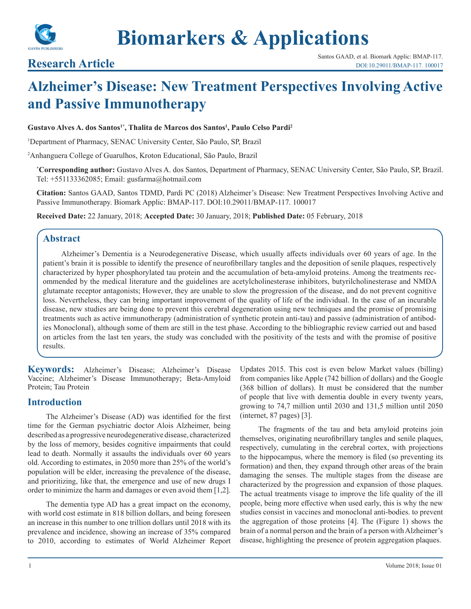

**Biomarkers & Applications**

# **Alzheimer's Disease: New Treatment Perspectives Involving Active and Passive Immunotherapy**

#### **Gustavo Alves A. dos Santos1\*, Thalita de Marcos dos Santos1 , Paulo Celso Pardi2**

1 Department of Pharmacy, SENAC University Center, São Paulo, SP, Brazil

2 Anhanguera College of Guarulhos, Kroton Educational, São Paulo, Brazil

**\* Corresponding author:** Gustavo Alves A. dos Santos, Department of Pharmacy, SENAC University Center, São Paulo, SP, Brazil. Tel: +551133362085; Email: gusfarma@hotmail.com

**Citation:** Santos GAAD, Santos TDMD, Pardi PC (2018) Alzheimer's Disease: New Treatment Perspectives Involving Active and Passive Immunotherapy. Biomark Applic: BMAP-117. DOI:10.29011/BMAP-117. 100017

**Received Date:** 22 January, 2018; **Accepted Date:** 30 January, 2018; **Published Date:** 05 February, 2018

# **Abstract**

Alzheimer's Dementia is a Neurodegenerative Disease, which usually affects individuals over 60 years of age. In the patient's brain it is possible to identify the presence of neurofibrillary tangles and the deposition of senile plaques, respectively characterized by hyper phosphorylated tau protein and the accumulation of beta-amyloid proteins. Among the treatments recommended by the medical literature and the guidelines are acetylcholinesterase inhibitors, butyrilcholinesterase and NMDA glutamate receptor antagonists; However, they are unable to slow the progression of the disease, and do not prevent cognitive loss. Nevertheless, they can bring important improvement of the quality of life of the individual. In the case of an incurable disease, new studies are being done to prevent this cerebral degeneration using new techniques and the promise of promising treatments such as active immunotherapy (administration of synthetic protein anti-tau) and passive (administration of antibodies Monoclonal), although some of them are still in the test phase. According to the bibliographic review carried out and based on articles from the last ten years, the study was concluded with the positivity of the tests and with the promise of positive results.

**Keywords:** Alzheimer's Disease; Alzheimer's Disease Vaccine; Alzheimer's Disease Immunotherapy; Beta-Amyloid Protein; Tau Protein

### **Introduction**

The Alzheimer's Disease (AD) was identified for the first time for the German psychiatric doctor Alois Alzheimer, being described as a progressive neurodegenerative disease, characterized by the loss of memory, besides cognitive impairments that could lead to death. Normally it assaults the individuals over 60 years old. According to estimates, in 2050 more than 25% of the world's population will be elder, increasing the prevalence of the disease, and prioritizing, like that, the emergence and use of new drugs I order to minimize the harm and damages or even avoid them [1,2].

The dementia type AD has a great impact on the economy, with world cost estimate in 818 billion dollars, and being foreseen an increase in this number to one trillion dollars until 2018 with its prevalence and incidence, showing an increase of 35% compared to 2010, according to estimates of World Alzheimer Report Updates 2015. This cost is even below Market values (billing) from companies like Apple (742 billion of dollars) and the Google (368 billion of dollars). It must be considered that the number of people that live with dementia double in every twenty years, growing to 74,7 million until 2030 and 131,5 million until 2050 (internet, 87 pages) [3].

The fragments of the tau and beta amyloid proteins join themselves, originating neurofibrillary tangles and senile plaques, respectively, cumulating in the cerebral cortex, with projections to the hippocampus, where the memory is filed (so preventing its formation) and then, they expand through other areas of the brain damaging the senses. The multiple stages from the disease are characterized by the progression and expansion of those plaques. The actual treatments visage to improve the life quality of the ill people, being more effective when used early, this is why the new studies consist in vaccines and monoclonal anti-bodies. to prevent the aggregation of those proteins [4]. The (Figure 1) shows the brain of a normal person and the brain of a person with Alzheimer's disease, highlighting the presence of protein aggregation plaques.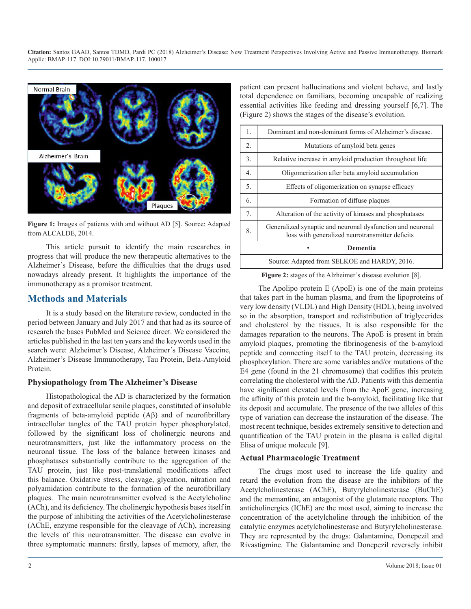**Citation:** Santos GAAD, Santos TDMD, Pardi PC (2018) Alzheimer's Disease: New Treatment Perspectives Involving Active and Passive Immunotherapy. Biomark Applic: BMAP-117. DOI:10.29011/BMAP-117. 100017



**Figure 1:** Images of patients with and without AD [5]. Source: Adapted from ALCALDE, 2014.

This article pursuit to identify the main researches in progress that will produce the new therapeutic alternatives to the Alzheimer's Disease, before the difficulties that the drugs used nowadays already present. It highlights the importance of the immunotherapy as a promisor treatment.

# **Methods and Materials**

It is a study based on the literature review, conducted in the period between January and July 2017 and that had as its source of research the bases PubMed and Science direct. We considered the articles published in the last ten years and the keywords used in the search were: Alzheimer's Disease, Alzheimer's Disease Vaccine, Alzheimer's Disease Immunotherapy, Tau Protein, Beta-Amyloid Protein.

#### **Physiopathology from The Alzheimer's Disease**

Histopathological the AD is characterized by the formation and deposit of extracellular senile plaques, constituted of insoluble fragments of beta-amyloid peptide (Aβ) and of neurofibrillary intracellular tangles of the TAU protein hyper phosphorylated, followed by the significant loss of cholinergic neurons and neurotransmitters, just like the inflammatory process on the neuronal tissue. The loss of the balance between kinases and phosphatases substantially contribute to the aggregation of the TAU protein, just like post-translational modifications affect this balance. Oxidative stress, cleavage, glycation, nitration and polyamidation contribute to the formation of the neurofibrillary plaques. The main neurotransmitter evolved is the Acetylcholine (ACh), and its deficiency. The cholinergic hypothesis bases itself in the purpose of inhibiting the activities of the Acetylcholinesterase (AChE, enzyme responsible for the cleavage of ACh), increasing the levels of this neurotransmitter. The disease can evolve in three symptomatic manners: firstly, lapses of memory, after, the

patient can present hallucinations and violent behave, and lastly total dependence on familiars, becoming uncapable of realizing essential activities like feeding and dressing yourself [6,7]. The (Figure 2) shows the stages of the disease's evolution.

| 1.                                           | Dominant and non-dominant forms of Alzheimer's disease.                                                       |  |  |  |
|----------------------------------------------|---------------------------------------------------------------------------------------------------------------|--|--|--|
| 2.                                           | Mutations of amyloid beta genes                                                                               |  |  |  |
| $\overline{3}$ .                             | Relative increase in amyloid production throughout life                                                       |  |  |  |
| $\overline{4}$ .                             | Oligomerization after beta amyloid accumulation                                                               |  |  |  |
| 5.                                           | Effects of oligomerization on synapse efficacy                                                                |  |  |  |
| 6.                                           | Formation of diffuse plaques                                                                                  |  |  |  |
| 7.                                           | Alteration of the activity of kinases and phosphatases                                                        |  |  |  |
| 8.                                           | Generalized synaptic and neuronal dysfunction and neuronal<br>loss with generalized neurotransmitter deficits |  |  |  |
| Dementia                                     |                                                                                                               |  |  |  |
| Source: Adapted from SELKOE and HARDY, 2016. |                                                                                                               |  |  |  |

**Figure 2:** stages of the Alzheimer's disease evolution [8].

The Apolipo protein E (ApoE) is one of the main proteins that takes part in the human plasma, and from the lipoproteins of very low density (VLDL) and High Density (HDL), being involved so in the absorption, transport and redistribution of triglycerides and cholesterol by the tissues. It is also responsible for the damages reparation to the neurons. The ApoE is present in brain amyloid plaques, promoting the fibrinogenesis of the b-amyloid peptide and connecting itself to the TAU protein, decreasing its phosphorylation. There are some variables and/or mutations of the E4 gene (found in the 21 chromosome) that codifies this protein correlating the cholesterol with the AD. Patients with this dementia have significant elevated levels from the ApoE gene, increasing the affinity of this protein and the b-amyloid, facilitating like that its deposit and accumulate. The presence of the two alleles of this type of variation can decrease the instauration of the disease. The most recent technique, besides extremely sensitive to detection and quantification of the TAU protein in the plasma is called digital Elisa of unique molecule [9].

#### **Actual Pharmacologic Treatment**

The drugs most used to increase the life quality and retard the evolution from the disease are the inhibitors of the Acetylcholinesterase (AChE), Butyrylcholinesterase (BuChE) and the memantine, an antagonist of the glutamate receptors. The anticholinergics (IChE) are the most used, aiming to increase the concentration of the acetylcholine through the inhibition of the catalytic enzymes acetylcholinesterase and Butyrylcholinesterase. They are represented by the drugs: Galantamine, Donepezil and Rivastigmine. The Galantamine and Donepezil reversely inhibit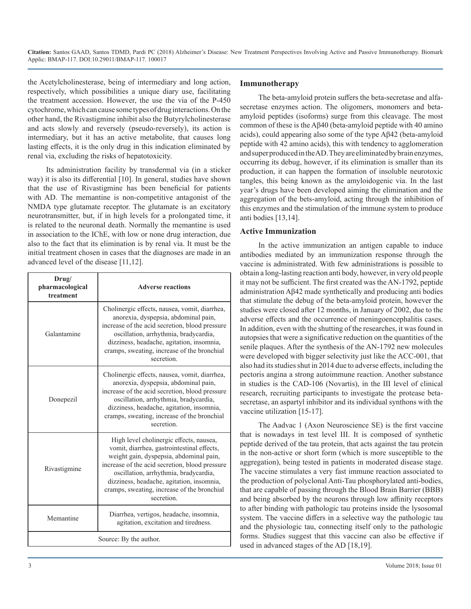the Acetylcholinesterase, being of intermediary and long action, respectively, which possibilities a unique diary use, facilitating the treatment accession. However, the use the via of the P-450 cytochrome, which can cause some types of drug interactions. On the other hand, the Rivastigmine inhibit also the Butyrylcholinesterase and acts slowly and reversely (pseudo-reversely), its action is intermediary, but it has an active metabolite, that causes long lasting effects, it is the only drug in this indication eliminated by renal via, excluding the risks of hepatotoxicity.

Its administration facility by transdermal via (in a sticker way) it is also its differential [10]. In general, studies have shown that the use of Rivastigmine has been beneficial for patients with AD. The memantine is non-competitive antagonist of the NMDA type glutamate receptor. The glutamate is an excitatory neurotransmitter, but, if in high levels for a prolongated time, it is related to the neuronal death. Normally the memantine is used in association to the IChE, with low or none drug interaction, due also to the fact that its elimination is by renal via. It must be the initial treatment chosen in cases that the diagnoses are made in an advanced level of the disease [11,12].

| Drug/<br>pharmacological<br>treatment | <b>Adverse reactions</b>                                                                                                                                                                                                                                                                                                              |  |  |  |
|---------------------------------------|---------------------------------------------------------------------------------------------------------------------------------------------------------------------------------------------------------------------------------------------------------------------------------------------------------------------------------------|--|--|--|
| Galantamine                           | Cholinergic effects, nausea, vomit, diarrhea,<br>anorexia, dyspepsia, abdominal pain,<br>increase of the acid secretion, blood pressure<br>oscillation, arrhythmia, bradycardia,<br>dizziness, headache, agitation, insomnia,<br>cramps, sweating, increase of the bronchial<br>secretion.                                            |  |  |  |
| Donepezil                             | Cholinergic effects, nausea, vomit, diarrhea,<br>anorexia, dyspepsia, abdominal pain,<br>increase of the acid secretion, blood pressure<br>oscillation, arrhythmia, bradycardia,<br>dizziness, headache, agitation, insomnia,<br>cramps, sweating, increase of the bronchial<br>secretion.                                            |  |  |  |
| Rivastigmine                          | High level cholinergic effects, nausea,<br>vomit, diarrhea, gastrointestinal effects,<br>weight gain, dyspepsia, abdominal pain,<br>increase of the acid secretion, blood pressure<br>oscillation, arrhythmia, bradycardia,<br>dizziness, headache, agitation, insomnia,<br>cramps, sweating, increase of the bronchial<br>secretion. |  |  |  |
| Memantine                             | Diarrhea, vertigos, headache, insomnia,<br>agitation, excitation and tiredness.                                                                                                                                                                                                                                                       |  |  |  |
| Source: By the author.                |                                                                                                                                                                                                                                                                                                                                       |  |  |  |

#### **Immunotherapy**

The beta-amyloid protein suffers the beta-secretase and alfasecretase enzymes action. The oligomers, monomers and betaamyloid peptides (isoforms) surge from this cleavage. The most common of these is the Aβ40 (beta-amyloid peptide with 40 amino acids), could appearing also some of the type Aβ42 (beta-amyloid peptide with 42 amino acids), this with tendency to agglomeration and super produced in the AD. They are eliminated by brain enzymes, occurring its debug, however, if its elimination is smaller than its production, it can happen the formation of insoluble neurotoxic tangles, this being known as the amyloidogenic via. In the last year's drugs have been developed aiming the elimination and the aggregation of the bets-amyloid, acting through the inhibition of this enzymes and the stimulation of the immune system to produce anti bodies [13,14].

#### **Active Immunization**

In the active immunization an antigen capable to induce antibodies mediated by an immunization response through the vaccine is administrated. With few administrations is possible to obtain a long-lasting reaction anti body, however, in very old people it may not be sufficient. The first created was the AN-1792, peptide administration Aβ42 made synthetically and producing anti bodies that stimulate the debug of the beta-amyloid protein, however the studies were closed after 12 months, in January of 2002, due to the adverse effects and the occurrence of meningoencephalitis cases. In addition, even with the shutting of the researches, it was found in autopsies that were a significative reduction on the quantities of the senile plaques. After the synthesis of the AN-1792 new molecules were developed with bigger selectivity just like the ACC-001, that also had its studies shut in 2014 due to adverse effects, including the pectoris angina a strong autoimmune reaction. Another substance in studies is the CAD-106 (Novartis), in the III level of clinical research, recruiting participants to investigate the protease betasecretase, an aspartyl inhibitor and its individual synthons with the vaccine utilization [15-17].

The Aadvac 1 (Axon Neuroscience SE) is the first vaccine that is nowadays in test level III. It is composed of synthetic peptide derived of the tau protein, that acts against the tau protein in the non-active or short form (which is more susceptible to the aggregation), being tested in patients in moderated disease stage. The vaccine stimulates a very fast immune reaction associated to the production of polyclonal Anti-Tau phosphorylated anti-bodies, that are capable of passing through the Blood Brain Barrier (BBB) and being absorbed by the neurons through low affinity receptors to after binding with pathologic tau proteins inside the lysosomal system. The vaccine differs in a selective way the pathologic tau and the physiologic tau, connecting itself only to the pathologic forms. Studies suggest that this vaccine can also be effective if used in advanced stages of the AD [18,19].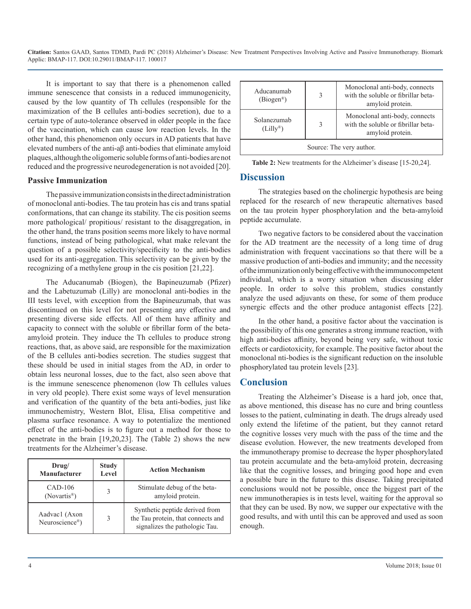**Citation:** Santos GAAD, Santos TDMD, Pardi PC (2018) Alzheimer's Disease: New Treatment Perspectives Involving Active and Passive Immunotherapy. Biomark Applic: BMAP-117. DOI:10.29011/BMAP-117. 100017

It is important to say that there is a phenomenon called immune senescence that consists in a reduced immunogenicity, caused by the low quantity of Th cellules (responsible for the maximization of the B cellules anti-bodies secretion), due to a certain type of auto-tolerance observed in older people in the face of the vaccination, which can cause low reaction levels. In the other hand, this phenomenon only occurs in AD patients that have elevated numbers of the anti-aβ anti-bodies that eliminate amyloid plaques, although the oligomeric soluble forms of anti-bodies are not reduced and the progressive neurodegeneration is not avoided [20].

#### **Passive Immunization**

The passive immunization consists in the direct administration of monoclonal anti-bodies. The tau protein has cis and trans spatial conformations, that can change its stability. The cis position seems more pathological/ propitious/ resistant to the disaggregation, in the other hand, the trans position seems more likely to have normal functions, instead of being pathological, what make relevant the question of a possible selectivity/specificity to the anti-bodies used for its anti-aggregation. This selectivity can be given by the recognizing of a methylene group in the cis position [21,22].

The Aducanumab (Biogen), the Bapineuzumab (Pfizer) and the Labetuzumab (Lilly) are monoclonal anti-bodies in the III tests level, with exception from the Bapineuzumab, that was discontinued on this level for not presenting any effective and presenting diverse side effects. All of them have affinity and capacity to connect with the soluble or fibrillar form of the betaamyloid protein. They induce the Th cellules to produce strong reactions, that, as above said, are responsible for the maximization of the B cellules anti-bodies secretion. The studies suggest that these should be used in initial stages from the AD, in order to obtain less neuronal losses, due to the fact, also seen above that is the immune senescence phenomenon (low Th cellules values in very old people). There exist some ways of level mensuration and verification of the quantity of the beta anti-bodies, just like immunochemistry, Western Blot, Elisa, Elisa competitive and plasma surface resonance. A way to potentialize the mentioned effect of the anti-bodies is to figure out a method for those to penetrate in the brain [19,20,23]. The (Table 2) shows the new treatments for the Alzheimer's disease.

| Drug/<br>Manufacturer                 | <b>Study</b><br>Level | <b>Action Mechanism</b>                                                                                |
|---------------------------------------|-----------------------|--------------------------------------------------------------------------------------------------------|
| $CAD-106$<br>(Novartis <sup>®</sup> ) |                       | Stimulate debug of the beta-<br>amyloid protein.                                                       |
| Aadvac1 (Axon<br>Neuroscience®)       | 3                     | Synthetic peptide derived from<br>the Tau protein, that connects and<br>signalizes the pathologic Tau. |

| Aducanumah<br>$(Biogen^®)$         | 3 | Monoclonal anti-body, connects<br>with the soluble or fibrillar beta-<br>amyloid protein. |  |  |  |
|------------------------------------|---|-------------------------------------------------------------------------------------------|--|--|--|
| Solanezumah<br>$(Lilly^{\otimes})$ | 3 | Monoclonal anti-body, connects<br>with the soluble or fibrillar beta-<br>amyloid protein. |  |  |  |
| Source: The very author.           |   |                                                                                           |  |  |  |

**Table 2:** New treatments for the Alzheimer's disease [15-20,24].

#### **Discussion**

The strategies based on the cholinergic hypothesis are being replaced for the research of new therapeutic alternatives based on the tau protein hyper phosphorylation and the beta-amyloid peptide accumulate.

Two negative factors to be considered about the vaccination for the AD treatment are the necessity of a long time of drug administration with frequent vaccinations so that there will be a massive production of anti-bodies and immunity; and the necessity of the immunization only being effective with the immunocompetent individual, which is a worry situation when discussing elder people. In order to solve this problem, studies constantly analyze the used adjuvants on these, for some of them produce synergic effects and the other produce antagonist effects [22].

In the other hand, a positive factor about the vaccination is the possibility of this one generates a strong immune reaction, with high anti-bodies affinity, beyond being very safe, without toxic effects or cardiotoxicity, for example. The positive factor about the monoclonal nti-bodies is the significant reduction on the insoluble phosphorylated tau protein levels [23].

## **Conclusion**

Treating the Alzheimer's Disease is a hard job, once that, as above mentioned, this disease has no cure and bring countless losses to the patient, culminating in death. The drugs already used only extend the lifetime of the patient, but they cannot retard the cognitive losses very much with the pass of the time and the disease evolution. However, the new treatments developed from the immunotherapy promise to decrease the hyper phosphorylated tau protein accumulate and the beta-amyloid protein, decreasing like that the cognitive losses, and bringing good hope and even a possible bure in the future to this disease. Taking precipitated conclusions would not be possible, once the biggest part of the new immunotherapies is in tests level, waiting for the approval so that they can be used. By now, we supper our expectative with the good results, and with until this can be approved and used as soon enough.